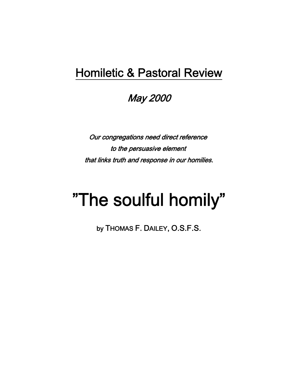# Homiletic & Pastoral Review

May 2000

Our congregations need direct reference to the persuasive element that links truth and response in our homilies.

# "The soulful homily"

by THOMAS F. DAILEY, O.S.F.S.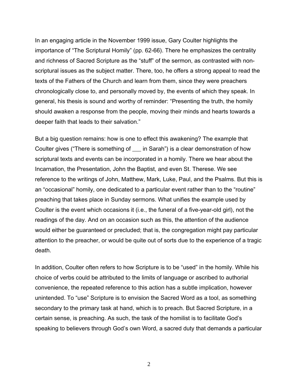In an engaging article in the November 1999 issue, Gary Coulter highlights the importance of "The Scriptural Homily" (pp. 62-66). There he emphasizes the centrality and richness of Sacred Scripture as the "stuff" of the sermon, as contrasted with nonscriptural issues as the subject matter. There, too, he offers a strong appeal to read the texts of the Fathers of the Church and learn from them, since they were preachers chronologically close to, and personally moved by, the events of which they speak. In general, his thesis is sound and worthy of reminder: "Presenting the truth, the homily should awaken a response from the people, moving their minds and hearts towards a deeper faith that leads to their salvation."

But a big question remains: how is one to effect this awakening? The example that Coulter gives ("There is something of \_\_\_ in Sarah") is a clear demonstration of how scriptural texts and events can be incorporated in a homily. There we hear about the Incarnation, the Presentation, John the Baptist, and even St. Therese. We see reference to the writings of John, Matthew, Mark, Luke, Paul, and the Psalms. But this is an "occasional" homily, one dedicated to a particular event rather than to the "routine" preaching that takes place in Sunday sermons. What unifies the example used by Coulter is the event which occasions it (i.e., the funeral of a five-year-old girl), not the readings of the day. And on an occasion such as this, the attention of the audience would either be guaranteed or precluded; that is, the congregation might pay particular attention to the preacher, or would be quite out of sorts due to the experience of a tragic death.

In addition, Coulter often refers to how Scripture is to be "used" in the homily. While his choice of verbs could be attributed to the limits of language or ascribed to authorial convenience, the repeated reference to this action has a subtle implication, however unintended. To "use" Scripture is to envision the Sacred Word as a tool, as something secondary to the primary task at hand, which is to preach. But Sacred Scripture, in a certain sense, is preaching. As such, the task of the homilist is to facilitate God's speaking to believers through God's own Word, a sacred duty that demands a particular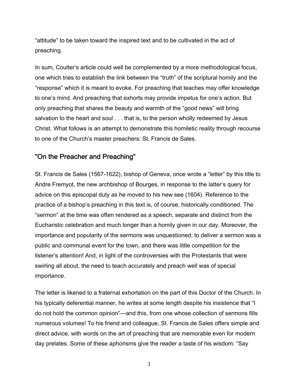"attitude" to be taken toward the inspired text and to be cultivated in the act of preaching.

In sum, Coulter's article could well be complemented by a more methodological focus, one which tries to establish the link between the "truth" of the scriptural homily and the "response" which it is meant to evoke. For preaching that teaches may offer knowledge to one's mind. And preaching that exhorts may provide impetus for one's action. But only preaching that shares the beauty and warmth of the "good news" will bring salvation to the heart and soul . . . that is, to the person wholly redeemed by Jesus Christ. What follows is an attempt to demonstrate this homiletic reality through recourse to one of the Church's master preachers: St. Francis de Sales.

## "On the Preacher and Preaching"

St. Francis de Sales (1567-1622), bishop of Geneva, once wrote a "letter" by this title to Andre Fremyot, the new archbishop of Bourges, in response to the latter's query for advice on this episcopal duty as he moved to his new see (1604). Reference to the practice of a bishop's preaching in this text is, of course, historically conditioned. The "sermon" at the time was often rendered as a speech, separate and distinct from the Eucharistic celebration and much longer than a homily given in our day. Moreover, the importance and popularity of the sermons was unquestioned; to deliver a sermon was a public and communal event for the town, and there was little competition for the listener's attention! And, in light of the controversies with the Protestants that were swirling all about, the need to teach accurately and preach well was of special importance.

The letter is likened to a fraternal exhortation on the part of this Doctor of the Church. In his typically deferential manner, he writes at some length despite his insistence that "I do not hold the common opinion"—and this, from one whose collection of sermons fills numerous volumes! To his friend and colleague, St. Francis de Sales offers simple and direct advice, with words on the art of preaching that are memorable even for modern day prelates. Some of these aphorisms give the reader a taste of his wisdom: "Say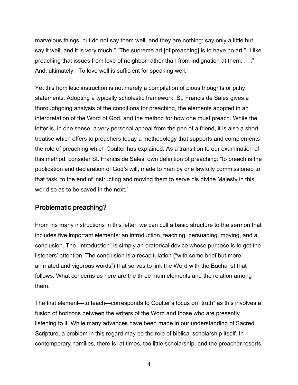marvelous things, but do not say them well, and they are nothing; say only a little but say it well, and it is very much." "The supreme art [of preaching] is to have no art." "I like preaching that issues from love of neighbor rather than from indignation at them. . . ." And, ultimately, "To love well is sufficient for speaking well."

Yet this homiletic instruction is not merely a compilation of pious thoughts or pithy statements. Adopting a typically scholastic framework, St. Francis de Sales gives a thoroughgoing analysis of the conditions for preaching, the elements adopted in an interpretation of the Word of God, and the method for how one must preach. While the letter is, in one sense, a very personal appeal from the pen of a friend, it is also a short treatise which offers to preachers today a methodology that supports and complements the role of preaching which Coulter has explained. As a transition to our examination of this method, consider St. Francis de Sales' own definition of preaching: "to preach is the publication and declaration of God's will, made to men by one lawfully commissioned to that task, to the end of instructing and moving them to serve his divine Majesty in this world so as to be saved in the next."

# Problematic preaching?

From his many instructions in this letter, we can cull a basic structure to the sermon that includes five important elements: an introduction, teaching, persuading, moving, and a conclusion. The "introduction" is simply an oratorical device whose purpose is to get the listeners' attention. The conclusion is a recapitulation ("with some brief but more animated and vigorous words") that serves to link the Word with the Eucharist that follows. What concerns us here are the three main elements and the relation among them.

The first element—to teach—corresponds to Coulter's focus on "truth" as this involves a fusion of horizons between the writers of the Word and those who are presently listening to it. While many advances have been made in our understanding of Sacred Scripture, a problem in this regard may be the role of biblical scholarship itself. In contemporary homilies, there is, at times, too little scholarship, and the preacher resorts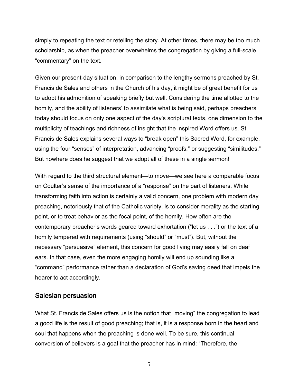simply to repeating the text or retelling the story. At other times, there may be too much scholarship, as when the preacher overwhelms the congregation by giving a full-scale "commentary" on the text.

Given our present-day situation, in comparison to the lengthy sermons preached by St. Francis de Sales and others in the Church of his day, it might be of great benefit for us to adopt his admonition of speaking briefly but well. Considering the time allotted to the homily, and the ability of listeners' to assimilate what is being said, perhaps preachers today should focus on only one aspect of the day's scriptural texts, one dimension to the multiplicity of teachings and richness of insight that the inspired Word offers us. St. Francis de Sales explains several ways to "break open" this Sacred Word, for example, using the four "senses" of interpretation, advancing "proofs," or suggesting "similitudes." But nowhere does he suggest that we adopt all of these in a single sermon!

With regard to the third structural element—to move—we see here a comparable focus on Coulter's sense of the importance of a "response" on the part of listeners. While transforming faith into action is certainly a valid concern, one problem with modern day preaching, notoriously that of the Catholic variety, is to consider morality as the starting point, or to treat behavior as the focal point, of the homily. How often are the contemporary preacher's words geared toward exhortation ("let us . . .") or the text of a homily tempered with requirements (using "should" or "must"). But, without the necessary "persuasive" element, this concern for good living may easily fall on deaf ears. In that case, even the more engaging homily will end up sounding like a "command" performance rather than a declaration of God's saving deed that impels the hearer to act accordingly.

#### Salesian persuasion

What St. Francis de Sales offers us is the notion that "moving" the congregation to lead a good life is the result of good preaching; that is, it is a response born in the heart and soul that happens when the preaching is done well. To be sure, this continual conversion of believers is a goal that the preacher has in mind: "Therefore, the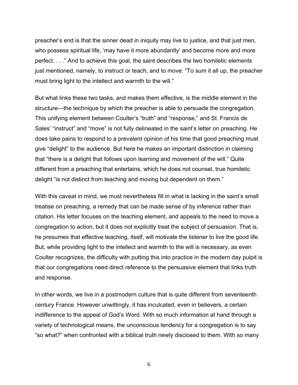preacher's end is that the sinner dead in iniquity may live to justice, and that just men, who possess spiritual life, 'may have it more abundantly' and become more and more perfect. . . ." And to achieve this goal, the saint describes the two homiletic elements just mentioned, namely, to instruct or teach, and to move: "To sum it all up, the preacher must bring light to the intellect and warmth to the will."

But what links these two tasks, and makes them effective, is the middle element in the structure—the technique by which the preacher is able to persuade the congregation. This unifying element between Coulter's "truth" and "response," and St. Francis de Sales' "instruct" and "move" is not fully delineated in the saint's letter on preaching. He does take pains to respond to a prevalent opinion of his time that good preaching must give "delight" to the audience. But here he makes an important distinction in claiming that "there is a delight that follows upon learning and movement of the will." Quite different from a preaching that entertains, which he does not counsel, true homiletic delight "is not distinct from teaching and moving but dependent on them."

With this caveat in mind, we must nevertheless fill in what is lacking in the saint's small treatise on preaching, a remedy that can be made sense of by inference rather than citation. His letter focuses on the teaching element, and appeals to the need to move a congregation to action, but it does not explicitly treat the subject of persuasion. That is, he presumes that effective teaching, itself, will motivate the listener to live the good life. But, while providing light to the intellect and warmth to the will is necessary, as even Coulter recognizes, the difficulty with putting this into practice in the modern day pulpit is that our congregations need direct reference to the persuasive element that links truth and response.

In other words, we live in a postmodern culture that is quite different from seventeenth century France. However unwittingly, it has inculcated, even in believers, a certain indifference to the appeal of God's Word. With so much information at hand through a variety of technological means, the unconscious tendency for a congregation is to say "so what?" when confronted with a biblical truth newly disclosed to them. With so many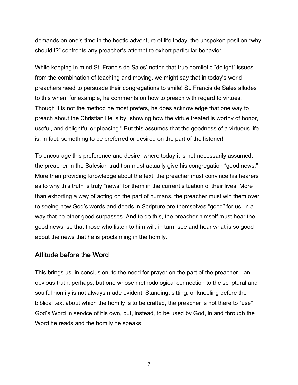demands on one's time in the hectic adventure of life today, the unspoken position "why should I?" confronts any preacher's attempt to exhort particular behavior.

While keeping in mind St. Francis de Sales' notion that true homiletic "delight" issues from the combination of teaching and moving, we might say that in today's world preachers need to persuade their congregations to smile! St. Francis de Sales alludes to this when, for example, he comments on how to preach with regard to virtues. Though it is not the method he most prefers, he does acknowledge that one way to preach about the Christian life is by "showing how the virtue treated is worthy of honor, useful, and delightful or pleasing." But this assumes that the goodness of a virtuous life is, in fact, something to be preferred or desired on the part of the listener!

To encourage this preference and desire, where today it is not necessarily assumed, the preacher in the Salesian tradition must actually give his congregation "good news." More than providing knowledge about the text, the preacher must convince his hearers as to why this truth is truly "news" for them in the current situation of their lives. More than exhorting a way of acting on the part of humans, the preacher must win them over to seeing how God's words and deeds in Scripture are themselves "good" for us, in a way that no other good surpasses. And to do this, the preacher himself must hear the good news, so that those who listen to him will, in turn, see and hear what is so good about the news that he is proclaiming in the homily.

## Attitude before the Word

This brings us, in conclusion, to the need for prayer on the part of the preacher—an obvious truth, perhaps, but one whose methodological connection to the scriptural and soulful homily is not always made evident. Standing, sitting, or kneeling before the biblical text about which the homily is to be crafted, the preacher is not there to "use" God's Word in service of his own, but, instead, to be used by God, in and through the Word he reads and the homily he speaks.